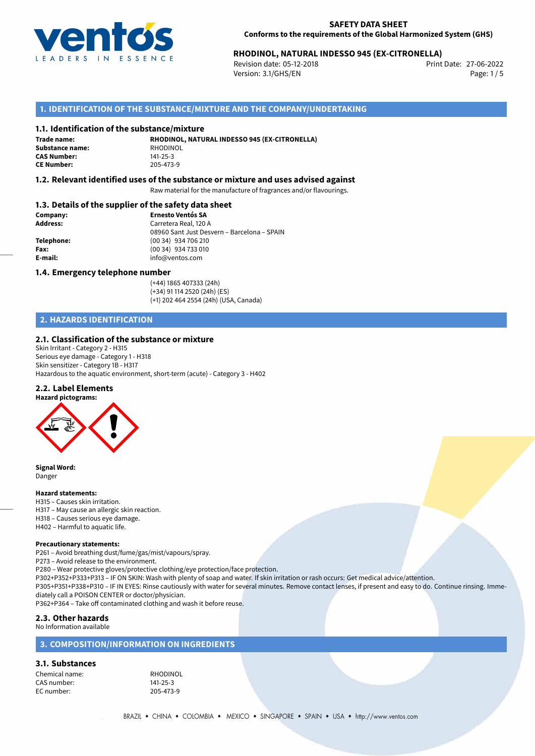

## 27-06-2022 **RHODINOL, NATURAL INDESSO 945 (EX-CITRONELLA)**

Revision date: 05-12-2018 Version: 3.1/GHS/EN Page: 1 / 5

## **1. IDENTIFICATION OF THE SUBSTANCE/MIXTURE AND THE COMPANY/UNDERTAKING**

#### **1.1. Identification of the substance/mixture**

**Trade name: Substance name:** RHODINOL<br> **CAS Number:** 141-25-3 **CAS Number:** 141-25-3<br> **CE Number:** 205-473-9 **CE Number:** 205-473-9

**RHODINOL, NATURAL INDESSO 945 (EX-CITRONELLA)**

### **1.2. Relevant identified uses of the substance or mixture and uses advised against**

Raw material for the manufacture of fragrances and/or flavourings.

### **1.3. Details of the supplier of the safety data sheet**

| Company:        | <b>Ernesto Ventós SA</b>                    |
|-----------------|---------------------------------------------|
| <b>Address:</b> | Carretera Real, 120 A                       |
|                 | 08960 Sant Just Desvern - Barcelona - SPAIN |
| Telephone:      | (00 34) 934 706 210                         |
| Fax:            | (00 34) 934 733 010                         |
| E-mail:         | info@ventos.com                             |
|                 |                                             |

#### **1.4. Emergency telephone number**

(+44) 1865 407333 (24h) (+34) 91 114 2520 (24h) (ES) (+1) 202 464 2554 (24h) (USA, Canada)

## **2. HAZARDS IDENTIFICATION**

#### **2.1. Classification of the substance or mixture**

Skin Irritant - Category 2 - H315 Serious eye damage - Category 1 - H318 Skin sensitizer - Category 1B - H317 Hazardous to the aquatic environment, short-term (acute) - Category 3 - H402

#### **2.2. Label Elements**



**Signal Word:** Danger

#### **Hazard statements:**

H315 – Causes skin irritation. H317 – May cause an allergic skin reaction. H318 – Causes serious eye damage. H402 – Harmful to aquatic life.

#### **Precautionary statements:**

P261 – Avoid breathing dust/fume/gas/mist/vapours/spray. P273 – Avoid release to the environment. P280 – Wear protective gloves/protective clothing/eye protection/face protection.

P302+P352+P333+P313 – IF ON SKIN: Wash with plenty of soap and water. If skin irritation or rash occurs: Get medical advice/attention. P305+P351+P338+P310 – IF IN EYES: Rinse cautiously with water for several minutes. Remove contact lenses, if present and easy to do. Continue rinsing. Immediately call a POISON CENTER or doctor/physician.

P362+P364 – Take off contaminated clothing and wash it before reuse.

## **2.3. Other hazards**

No Information available

## **3. COMPOSITION/INFORMATION ON INGREDIENTS**

### **3.1. Substances**

| Chemical name: |  |  |
|----------------|--|--|
| CAS number:    |  |  |
| EC number:     |  |  |

RHODINOL 141-25-3 205-473-9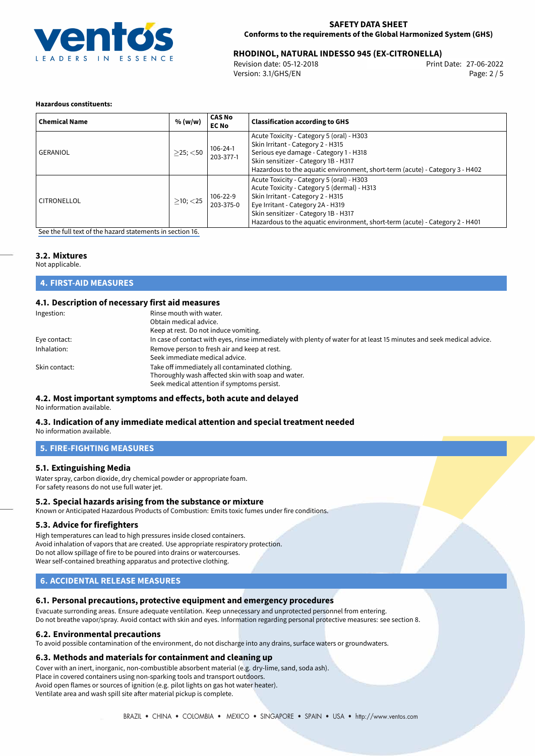

## 27-06-2022 **RHODINOL, NATURAL INDESSO 945 (EX-CITRONELLA)**

Revision date: 05-12-2018 Version: 3.1/GHS/EN Page: 2 / 5

#### **Hazardous constituents:**

| <b>Chemical Name</b> | % (w/w)        | <b>CAS No</b><br><b>EC No</b> | <b>Classification according to GHS</b>                                                                                                                                                                                                                                                     |
|----------------------|----------------|-------------------------------|--------------------------------------------------------------------------------------------------------------------------------------------------------------------------------------------------------------------------------------------------------------------------------------------|
| GERANIOL             | $>$ 25; $<$ 50 | $106 - 24 - 1$<br>203-377-1   | Acute Toxicity - Category 5 (oral) - H303<br>Skin Irritant - Category 2 - H315<br>Serious eye damage - Category 1 - H318<br>Skin sensitizer - Category 1B - H317<br>Hazardous to the aquatic environment, short-term (acute) - Category 3 - H402                                           |
| <b>CITRONELLOL</b>   | $>10$ ; $<$ 25 | 106-22-9<br>203-375-0         | Acute Toxicity - Category 5 (oral) - H303<br>Acute Toxicity - Category 5 (dermal) - H313<br>Skin Irritant - Category 2 - H315<br>Eye Irritant - Category 2A - H319<br>Skin sensitizer - Category 1B - H317<br>Hazardous to the aquatic environment, short-term (acute) - Category 2 - H401 |

[See the full text of the hazard statements in section 16.](#page-4-0)

## **3.2. Mixtures**

Not applicable.

**4. FIRST-AID MEASURES**

### **4.1. Description of necessary first aid measures**

| Ingestion:    | Rinse mouth with water.<br>Obtain medical advice.<br>Keep at rest. Do not induce vomiting.                            |
|---------------|-----------------------------------------------------------------------------------------------------------------------|
|               | In case of contact with eyes, rinse immediately with plenty of water for at least 15 minutes and seek medical advice. |
| Eye contact:  |                                                                                                                       |
| Inhalation:   | Remove person to fresh air and keep at rest.                                                                          |
|               | Seek immediate medical advice.                                                                                        |
| Skin contact: | Take off immediately all contaminated clothing.                                                                       |
|               | Thoroughly wash affected skin with soap and water.                                                                    |
|               | Seek medical attention if symptoms persist.                                                                           |

#### **4.2. Most important symptoms and effects, both acute and delayed** No information available.

## **4.3. Indication of any immediate medical attention and special treatment needed**

No information available.

## **5. FIRE-FIGHTING MEASURES**

#### **5.1. Extinguishing Media**

Water spray, carbon dioxide, dry chemical powder or appropriate foam. For safety reasons do not use full water jet.

#### **5.2. Special hazards arising from the substance or mixture**

Known or Anticipated Hazardous Products of Combustion: Emits toxic fumes under fire conditions.

#### **5.3. Advice for firefighters**

High temperatures can lead to high pressures inside closed containers. Avoid inhalation of vapors that are created. Use appropriate respiratory protection. Do not allow spillage of fire to be poured into drains or watercourses. Wear self-contained breathing apparatus and protective clothing.

## **6. ACCIDENTAL RELEASE MEASURES**

#### **6.1. Personal precautions, protective equipment and emergency procedures**

Evacuate surronding areas. Ensure adequate ventilation. Keep unnecessary and unprotected personnel from entering. Do not breathe vapor/spray. Avoid contact with skin and eyes. Information regarding personal protective measures: see section 8.

#### **6.2. Environmental precautions**

To avoid possible contamination of the environment, do not discharge into any drains, surface waters or groundwaters.

#### **6.3. Methods and materials for containment and cleaning up**

Cover with an inert, inorganic, non-combustible absorbent material (e.g. dry-lime, sand, soda ash).

Place in covered containers using non-sparking tools and transport outdoors.

Avoid open flames or sources of ignition (e.g. pilot lights on gas hot water heater).

Ventilate area and wash spill site after material pickup is complete.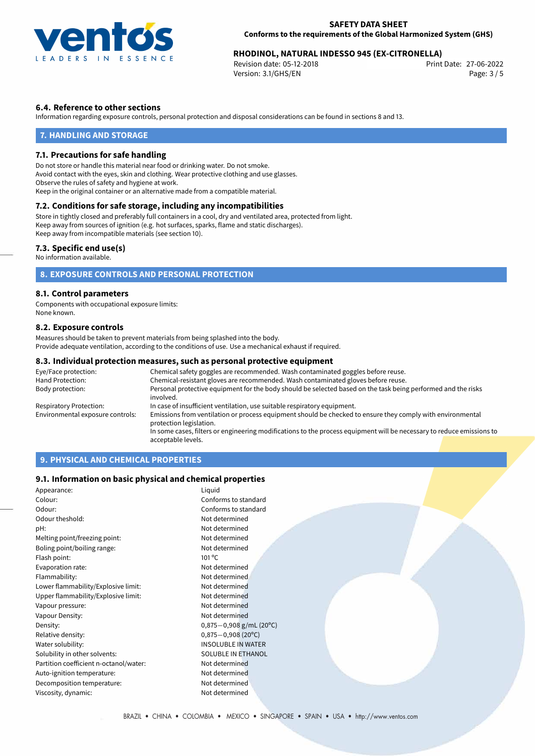

## 27-06-2022 **RHODINOL, NATURAL INDESSO 945 (EX-CITRONELLA)**

Revision date: 05-12-2018 Version: 3.1/GHS/EN Page: 3 / 5

### **6.4. Reference to other sections**

Information regarding exposure controls, personal protection and disposal considerations can be found in sections 8 and 13.

### **7. HANDLING AND STORAGE**

#### **7.1. Precautions for safe handling**

Do not store or handle this material near food or drinking water. Do not smoke. Avoid contact with the eyes, skin and clothing. Wear protective clothing and use glasses. Observe the rules of safety and hygiene at work. Keep in the original container or an alternative made from a compatible material.

## **7.2. Conditions for safe storage, including any incompatibilities**

Store in tightly closed and preferably full containers in a cool, dry and ventilated area, protected from light. Keep away from sources of ignition (e.g. hot surfaces, sparks, flame and static discharges). Keep away from incompatible materials (see section 10).

#### **7.3. Specific end use(s)**

No information available.

## **8. EXPOSURE CONTROLS AND PERSONAL PROTECTION**

#### **8.1. Control parameters**

Components with occupational exposure limits: None known.

#### **8.2. Exposure controls**

Measures should be taken to prevent materials from being splashed into the body. Provide adequate ventilation, according to the conditions of use. Use a mechanical exhaust if required.

#### **8.3. Individual protection measures, such as personal protective equipment**

| Eye/Face protection:             | Chemical safety goggles are recommended. Wash contaminated goggles before reuse.                                                      |  |  |
|----------------------------------|---------------------------------------------------------------------------------------------------------------------------------------|--|--|
| Hand Protection:                 | Chemical-resistant gloves are recommended. Wash contaminated gloves before reuse.                                                     |  |  |
| Body protection:                 | Personal protective equipment for the body should be selected based on the task being performed and the risks<br>involved.            |  |  |
| Respiratory Protection:          | In case of insufficient ventilation, use suitable respiratory equipment.                                                              |  |  |
| Environmental exposure controls: | Emissions from ventilation or process equipment should be checked to ensure they comply with environmental<br>protection legislation. |  |  |
|                                  | In some cases, filters or engineering modifications to the process equipment will be necessary to reduce emissions to                 |  |  |
|                                  | acceptable levels.                                                                                                                    |  |  |

## **9. PHYSICAL AND CHEMICAL PROPERTIES**

#### **9.1. Information on basic physical and chemical properties**

| Appearance:                            | Liquid                       |  |
|----------------------------------------|------------------------------|--|
| Colour:                                | Conforms to standard         |  |
| Odour:                                 | Conforms to standard         |  |
| Odour theshold:                        | Not determined               |  |
| pH:                                    | Not determined               |  |
| Melting point/freezing point:          | Not determined               |  |
| Boling point/boiling range:            | Not determined               |  |
| Flash point:                           | $101^{\circ}$ C              |  |
| Evaporation rate:                      | Not determined               |  |
| Flammability:                          | Not determined               |  |
| Lower flammability/Explosive limit:    | Not determined               |  |
| Upper flammability/Explosive limit:    | Not determined               |  |
| Vapour pressure:                       | Not determined               |  |
| Vapour Density:                        | Not determined               |  |
| Density:                               | $0,875-0,908$ g/mL (20°C)    |  |
| Relative density:                      | $0,875 - 0,908(20^{\circ}C)$ |  |
| Water solubility:                      | <b>INSOLUBLE IN WATER</b>    |  |
| Solubility in other solvents:          | SOLUBLE IN ETHANOL           |  |
| Partition coefficient n-octanol/water: | Not determined               |  |
| Auto-ignition temperature:             | Not determined               |  |
| Decomposition temperature:             | Not determined               |  |
| Viscosity, dynamic:                    | Not determined               |  |
|                                        |                              |  |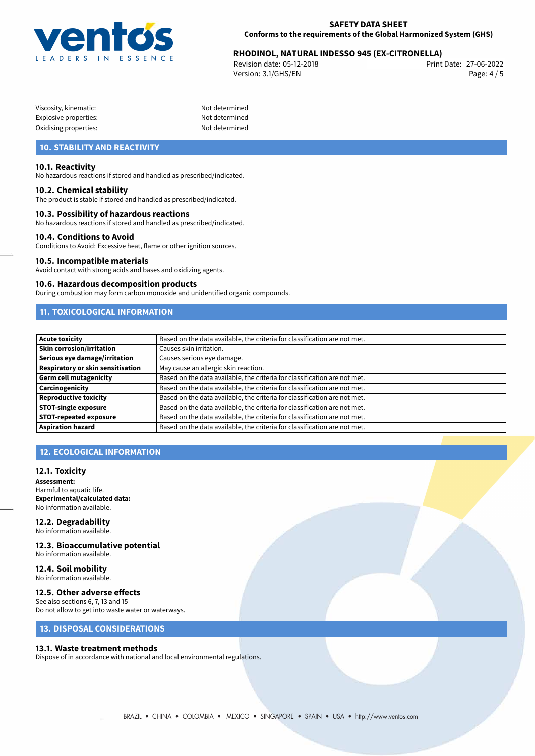

## 27-06-2022 **RHODINOL, NATURAL INDESSO 945 (EX-CITRONELLA)**

Revision date: 05-12-2018 Version: 3.1/GHS/EN Page: 4 / 5

Not determined Not determined Not determined

| Viscosity, kinematic: |  |
|-----------------------|--|
| Explosive properties: |  |
| Oxidising properties: |  |

## **10. STABILITY AND REACTIVITY**

#### **10.1. Reactivity**

No hazardous reactions if stored and handled as prescribed/indicated.

#### **10.2. Chemical stability**

The product is stable if stored and handled as prescribed/indicated.

#### **10.3. Possibility of hazardous reactions**

No hazardous reactions if stored and handled as prescribed/indicated.

#### **10.4. Conditions to Avoid**

Conditions to Avoid: Excessive heat, flame or other ignition sources.

#### **10.5. Incompatible materials**

Avoid contact with strong acids and bases and oxidizing agents.

#### **10.6. Hazardous decomposition products**

During combustion may form carbon monoxide and unidentified organic compounds.

## **11. TOXICOLOGICAL INFORMATION**

| Acute toxicity                    | Based on the data available, the criteria for classification are not met. |
|-----------------------------------|---------------------------------------------------------------------------|
| <b>Skin corrosion/irritation</b>  | Causes skin irritation.                                                   |
| Serious eye damage/irritation     | Causes serious eye damage.                                                |
| Respiratory or skin sensitisation | May cause an allergic skin reaction.                                      |
| Germ cell mutagenicity            | Based on the data available, the criteria for classification are not met. |
| Carcinogenicity                   | Based on the data available, the criteria for classification are not met. |
| Reproductive toxicity             | Based on the data available, the criteria for classification are not met. |
| <b>STOT-single exposure</b>       | Based on the data available, the criteria for classification are not met. |
| <b>STOT-repeated exposure</b>     | Based on the data available, the criteria for classification are not met. |
| Aspiration hazard                 | Based on the data available, the criteria for classification are not met. |

## **12. ECOLOGICAL INFORMATION**

#### **12.1. Toxicity**

**Assessment:** Harmful to aquatic life. **Experimental/calculated data:** No information available.

## **12.2. Degradability**

No information available.

## **12.3. Bioaccumulative potential**

No information available.

#### **12.4. Soil mobility** No information available.

#### **12.5. Other adverse effects**

See also sections 6, 7, 13 and 15 Do not allow to get into waste water or waterways.

## **13. DISPOSAL CONSIDERATIONS**

#### **13.1. Waste treatment methods**

Dispose of in accordance with national and local environmental regulations.